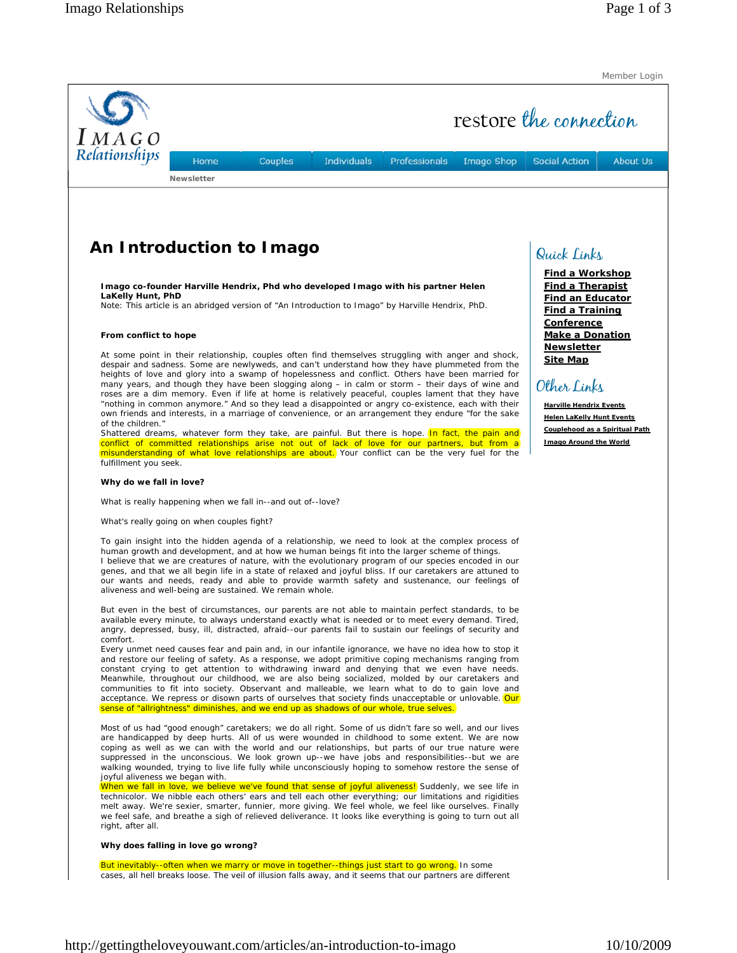Member Login

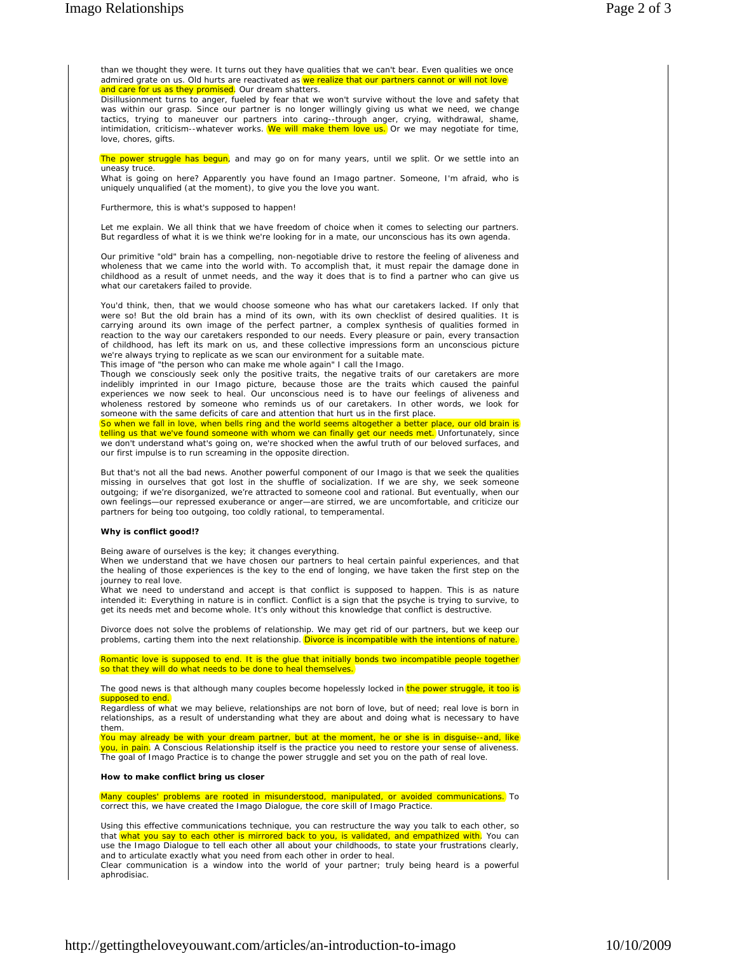than we thought they were. It turns out they have qualities that we can't bear. Even qualities we once admired grate on us. Old hurts are reactivated as we realize that our partners cannot or will not love and care for us as they promised. Our dream shatters.

Disillusionment turns to anger, fueled by fear that we won't survive without the love and safety that was within our grasp. Since our partner is no longer willingly giving us what we need, we change tactics, trying to maneuver our partners into caring--through anger, crying, withdrawal, shame, intimidation, criticism--whatever works. We will make them love us. Or we may negotiate for time, love, chores, gifts.

The power struggle has begun, and may go on for many years, until we split. Or we settle into an uneasy truce.

What is going on here? Apparently you have found an Imago partner. Someone, I'm afraid, who is uniquely unqualified (at the moment), to give you the love you want.

Furthermore, this is what's supposed to happen!

Let me explain. We all think that we have freedom of choice when it comes to selecting our partners. But regardless of what it is we think we're looking for in a mate, our unconscious has its own agenda.

Our primitive "old" brain has a compelling, non-negotiable drive to restore the feeling of aliveness and wholeness that we came into the world with. To accomplish that, it must repair the damage done in childhood as a result of unmet needs, and the way it does that is to find a partner who can give us what our caretakers failed to provide.

You'd think, then, that we would choose someone who has what our caretakers lacked. If only that were so! But the old brain has a mind of its own, with its own checklist of desired qualities. It is carrying around its own image of the perfect partner, a complex synthesis of qualities formed in reaction to the way our caretakers responded to our needs. Every pleasure or pain, every transaction of childhood, has left its mark on us, and these collective impressions form an unconscious picture we're always trying to replicate as we scan our environment for a suitable mate.

This image of "the person who can make me whole again" I call the Imago.

Though we consciously seek only the positive traits, the negative traits of our caretakers are more indelibly imprinted in our Imago picture, because those are the traits which caused the painful experiences we now seek to heal. Our unconscious need is to have our feelings of aliveness and wholeness restored by someone who reminds us of our caretakers. In other words, we look for someone with the same deficits of care and attention that hurt us in the first place.

So when we fall in love, when bells ring and the world seems altogether a better place, our old brain is telling us that we've found someone with whom we can finally get our needs met. Unfortunately, since we don't understand what's going on, we're shocked when the awful truth of our beloved surfaces, and our first impulse is to run screaming in the opposite direction.

But that's not all the bad news. Another powerful component of our Imago is that we seek the qualities missing in ourselves that got lost in the shuffle of socialization. If we are shy, we seek someone outgoing; if we're disorganized, we're attracted to someone cool and rational. But eventually, when our own feelings—our repressed exuberance or anger—are stirred, we are uncomfortable, and criticize our partners for being too outgoing, too coldly rational, to temperamental.

## **Why is conflict good!?**

Being aware of ourselves is the key; it changes everything.

When we understand that we have chosen our partners to heal certain painful experiences, and that the healing of those experiences is the key to the end of longing, we have taken the first step on the journey to real love.

What we need to understand and accept is that conflict is supposed to happen. This is as nature intended it: Everything in nature is in conflict. Conflict is a sign that the psyche is trying to survive, to get its needs met and become whole. It's only without this knowledge that conflict is destructive.

Divorce does not solve the problems of relationship. We may get rid of our partners, but we keep our problems, carting them into the next relationship. Divorce is incompatible with the intentions of nature.

Romantic love is supposed to end. It is the glue that initially bonds two incompatible people together so that they will do what needs to be done to heal themselves.

The good news is that although many couples become hopelessly locked in the power struggle, it too is supposed to end.

Regardless of what we may believe, relationships are not born of love, but of need; real love is born in relationships, as a result of understanding what they are about and doing what is necessary to have them.

You may already be with your dream partner, but at the moment, he or she is in disguise--and, like <mark>you, in pain</mark>. A Conscious Relationship itself is the practice you need to restore your sense of aliveness. The goal of Imago Practice is to change the power struggle and set you on the path of real love.

## **How to make conflict bring us closer**

Many couples' problems are rooted in misunderstood, manipulated, or avoided communications. To correct this, we have created the Imago Dialogue, the core skill of Imago Practice.

Using this effective communications technique, you can restructure the way you talk to each other, so that <mark>what you say to each other is mirrored back to you, is validated, and empathized with</mark>. You can use the Imago Dialogue to tell each other all about your childhoods, to state your frustrations clearly, and to articulate exactly what you need from each other in order to heal.

Clear communication is a window into the world of your partner; truly being heard is a powerful aphrodisiac.